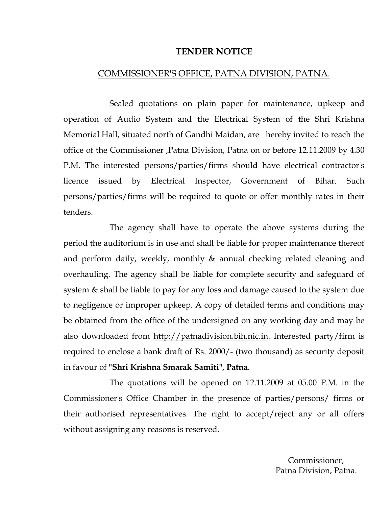## TENDER NOTICE

## COMMISSIONER'S OFFICE, PATNA DIVISION, PATNA.

 Sealed quotations on plain paper for maintenance, upkeep and operation of Audio System and the Electrical System of the Shri Krishna Memorial Hall, situated north of Gandhi Maidan, are hereby invited to reach the office of the Commissioner ,Patna Division, Patna on or before 12.11.2009 by 4.30 P.M. The interested persons/parties/firms should have electrical contractor's licence issued by Electrical Inspector, Government of Bihar. Such persons/parties/firms will be required to quote or offer monthly rates in their tenders.

 The agency shall have to operate the above systems during the period the auditorium is in use and shall be liable for proper maintenance thereof and perform daily, weekly, monthly & annual checking related cleaning and overhauling. The agency shall be liable for complete security and safeguard of system & shall be liable to pay for any loss and damage caused to the system due to negligence or improper upkeep. A copy of detailed terms and conditions may be obtained from the office of the undersigned on any working day and may be also downloaded from http://patnadivision.bih.nic.in. Interested party/firm is required to enclose a bank draft of Rs. 2000/- (two thousand) as security deposit in favour of "Shri Krishna Smarak Samiti", Patna.

 The quotations will be opened on 12.11.2009 at 05.00 P.M. in the Commissioner's Office Chamber in the presence of parties/persons/ firms or their authorised representatives. The right to accept/reject any or all offers without assigning any reasons is reserved.

> Commissioner, Patna Division, Patna.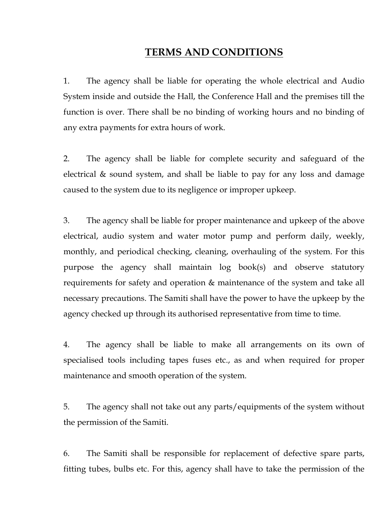## TERMS AND CONDITIONS

1. The agency shall be liable for operating the whole electrical and Audio System inside and outside the Hall, the Conference Hall and the premises till the function is over. There shall be no binding of working hours and no binding of any extra payments for extra hours of work.

2. The agency shall be liable for complete security and safeguard of the electrical & sound system, and shall be liable to pay for any loss and damage caused to the system due to its negligence or improper upkeep.

3. The agency shall be liable for proper maintenance and upkeep of the above electrical, audio system and water motor pump and perform daily, weekly, monthly, and periodical checking, cleaning, overhauling of the system. For this purpose the agency shall maintain log book(s) and observe statutory requirements for safety and operation & maintenance of the system and take all necessary precautions. The Samiti shall have the power to have the upkeep by the agency checked up through its authorised representative from time to time.

4. The agency shall be liable to make all arrangements on its own of specialised tools including tapes fuses etc., as and when required for proper maintenance and smooth operation of the system.

5. The agency shall not take out any parts/equipments of the system without the permission of the Samiti.

6. The Samiti shall be responsible for replacement of defective spare parts, fitting tubes, bulbs etc. For this, agency shall have to take the permission of the